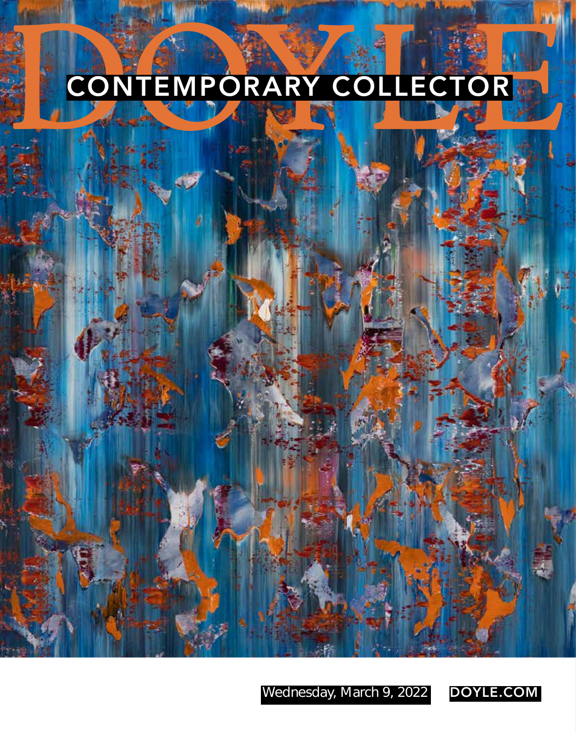# CONTEMPORARY COLLECTOR

Wednesday, March 9, 2022 DOYLE.COM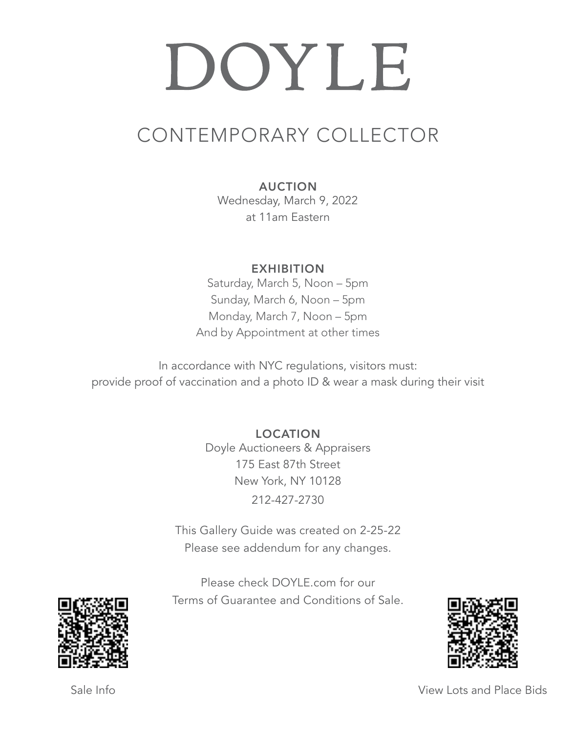## DOYLE

### CONTEMPORARY COLLECTOR

AUCTION

Wednesday, March 9, 2022 at 11am Eastern

EXHIBITION

Saturday, March 5, Noon – 5pm Sunday, March 6, Noon – 5pm Monday, March 7, Noon – 5pm And by Appointment at other times

In accordance with NYC regulations, visitors must: provide proof of vaccination and a photo ID & wear a mask during their visit

> LOCATION Doyle Auctioneers & Appraisers 175 East 87th Street New York, NY 10128 212-427-2730

This Gallery Guide was created on 2-25-22 Please see addendum for any changes.

Please check DOYLE.com for our Terms of Guarantee and Conditions of Sale.





Sale Info **View Lots and Place Bids**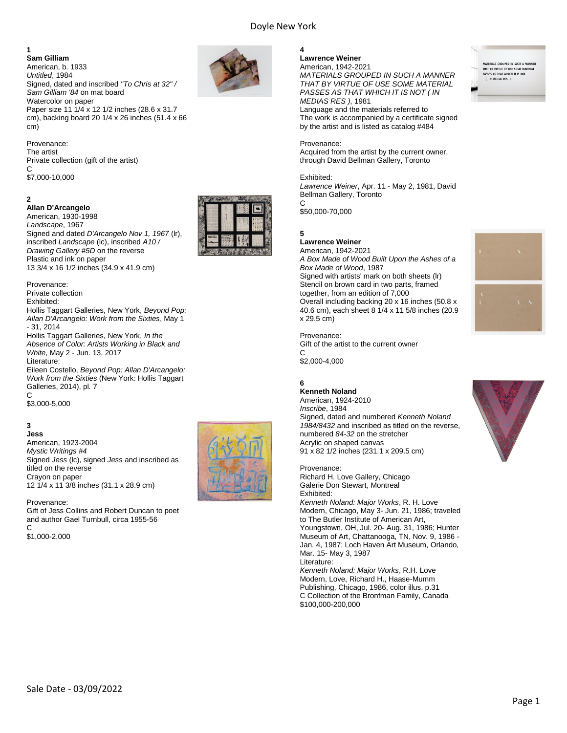#### **1**

**Sam Gilliam** American, b. 1933 *Untitled*, 1984 Signed, dated and inscribed *"To Chris at 32" / Sam Gilliam '84* on mat board Watercolor on paper Paper size 11 1/4 x 12 1/2 inches (28.6 x 31.7 cm), backing board 20 1/4 x 26 inches (51.4 x 66 cm)

Provenance: The artist Private collection (gift of the artist)  $\mathcal{C}$ \$7,000-10,000

#### **2**

#### **Allan D'Arcangelo**

American, 1930-1998 *Landscape*, 1967 Signed and dated *D'Arcangelo Nov 1, 1967* (lr), inscribed *Landscape* (lc), inscribed *A10 / Drawing Gallery #5D* on the reverse Plastic and ink on paper 13 3/4 x 16 1/2 inches (34.9 x 41.9 cm)

Provenance: Private collection Exhibited: Hollis Taggart Galleries, New York, *Beyond Pop: Allan D'Arcangelo: Work from the Sixties*, May 1 - 31, 2014 Hollis Taggart Galleries, New York, *In the Absence of Color: Artists Working in Black and White*, May 2 - Jun. 13, 2017 Literature: Eileen Costello, *Beyond Pop: Allan D'Arcangelo: Work from the Sixties* (New York: Hollis Taggart Galleries, 2014), pl. 7  $\mathcal{C}$ \$3,000-5,000

#### **3 Jess**

American, 1923-2004 *Mystic Writings #4* Signed *Jess* (lc), signed *Jess* and inscribed as titled on the reverse Crayon on paper 12 1/4 x 11 3/8 inches (31.1 x 28.9 cm)

Provenance: Gift of Jess Collins and Robert Duncan to poet and author Gael Turnbull, circa 1955-56 C \$1,000-2,000



#### **4 Lawrence Weiner**

American, 1942-2021 *MATERIALS GROUPED IN SUCH A MANNER THAT BY VIRTUE OF USE SOME MATERIAL PASSES AS THAT WHICH IT IS NOT ( IN MEDIAS RES )*, 1981 Language and the materials referred to

The work is accompanied by a certificate signed by the artist and is listed as catalog #484

Provenance:

Acquired from the artist by the current owner, through David Bellman Gallery, Toronto

#### Exhibited:

*Lawrence Weiner*, Apr. 11 - May 2, 1981, David Bellman Gallery, Toronto C

\$50,000-70,000

#### **5**

**Lawrence Weiner** American, 1942-2021 *A Box Made of Wood Built Upon the Ashes of a Box Made of Wood*, 1987 Signed with artists' mark on both sheets (lr) Stencil on brown card in two parts, framed together, from an edition of 7,000 Overall including backing 20 x 16 inches (50.8 x 40.6 cm), each sheet 8 1/4 x 11 5/8 inches (20.9 x 29.5 cm)

Provenance: Gift of the artist to the current owner C

\$2,000-4,000

#### **6**

**Kenneth Noland** American, 1924-2010 *Inscribe*, 1984 Signed, dated and numbered *Kenneth Noland 1984/8432* and inscribed as titled on the reverse, numbered *84-32* on the stretcher Acrylic on shaped canvas 91 x 82 1/2 inches (231.1 x 209.5 cm)

Provenance:

Richard H. Love Gallery, Chicago Galerie Don Stewart, Montreal Exhibited: *Kenneth Noland: Major Works*, R. H. Love Modern, Chicago, May 3- Jun. 21, 1986; traveled to The Butler Institute of American Art, Youngstown, OH, Jul. 20- Aug. 31, 1986; Hunter Museum of Art, Chattanooga, TN, Nov. 9, 1986 - Jan. 4, 1987; Loch Haven Art Museum, Orlando, Mar. 15- May 3, 1987 Literature: *Kenneth Noland: Major Works*, R.H. Love

Modern, Love, Richard H., Haase-Mumm Publishing, Chicago, 1986, color illus. p.31 C Collection of the Bronfman Family, Canada \$100,000-200,000

MATERIALS GROUPED IN SUCH A M<br>THAT BY VIRTUE OF USE SOME MA<br>PASSES AS THAT WHICH IT IS NOT<br>( IN MEDIAS RES )





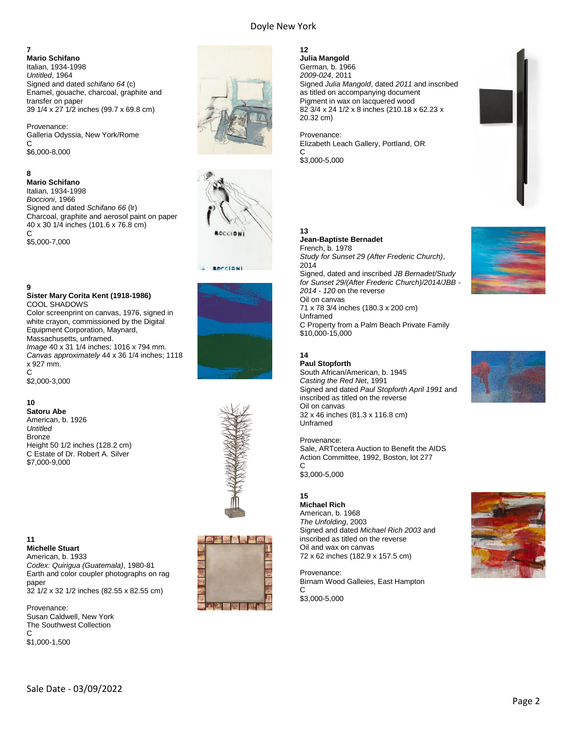#### **7**

**Mario Schifano** Italian, 1934-1998 *Untitled*, 1964 Signed and dated *schifano 64* (c) Enamel, gouache, charcoal, graphite and transfer on paper 39 1/4 x 27 1/2 inches (99.7 x 69.8 cm)

Provenance: Galleria Odyssia, New York/Rome C \$6,000-8,000

#### **8**

**Mario Schifano** Italian, 1934-1998 *Boccioni*, 1966 Signed and dated *Schifano 66* (lr) Charcoal, graphite and aerosol paint on paper 40 x 30 1/4 inches (101.6 x 76.8 cm)  $\overline{C}$ \$5,000-7,000

#### **9**

#### **Sister Mary Corita Kent (1918-1986)** COOL SHADOWS

Color screenprint on canvas, 1976, signed in white crayon, commissioned by the Digital Equipment Corporation, Maynard, Massachusetts, unframed. *Image* 40 x 31 1/4 inches; 1016 x 794 mm. *Canvas approximately* 44 x 36 1/4 inches; 1118 x 927 mm. C \$2,000-3,000

#### **10**

**11**

**Satoru Abe** American, b. 1926 *Untitled* Bronze Height 50 1/2 inches (128.2 cm) C Estate of Dr. Robert A. Silver \$7,000-9,000





Earth and color coupler photographs on rag paper 32 1/2 x 32 1/2 inches (82.55 x 82.55 cm)

Provenance: Susan Caldwell, New York The Southwest Collection  $\mathcal{C}$ \$1,000-1,500













#### **12**

**Julia Mangold** German, b. 1966 *2009-024*, 2011 Signed *Julia Mangold*, dated *2011* and inscribed as titled on accompanying document Pigment in wax on lacquered wood 82 3/4 x 24 1/2 x 8 inches (210.18 x 62.23 x 20.32 cm)

Provenance: Elizabeth Leach Gallery, Portland, OR  $\mathsf{C}$ 

\$3,000-5,000



#### **13 Jean-Baptiste Bernadet**

French, b. 1978 *Study for Sunset 29 (After Frederic Church)*, 2014 Signed, dated and inscribed *JB Bernadet/Study for Sunset 29/(After Frederic Church)/2014/JBB - 2014 - 120* on the reverse Oil on canvas 71 x 78 3/4 inches (180.3 x 200 cm) Unframed C Property from a Palm Beach Private Family \$10,000-15,000

#### **14**

**Paul Stopforth** South African/American, b. 1945 *Casting the Red Net*, 1991 Signed and dated *Paul Stopforth April 1991* and inscribed as titled on the reverse Oil on canvas 32 x 46 inches (81.3 x 116.8 cm) Unframed

#### Provenance:

Sale, ARTcetera Auction to Benefit the AIDS Action Committee, 1992, Boston, lot 277  $\mathsf{C}$ \$3,000-5,000

#### **15**

**Michael Rich** American, b. 1968 *The Unfolding*, 2003 Signed and dated *Michael Rich 2003* and inscribed as titled on the reverse Oil and wax on canvas 72 x 62 inches (182.9 x 157.5 cm)

Provenance: Birnam Wood Galleies, East Hampton  $\Omega$ \$3,000-5,000





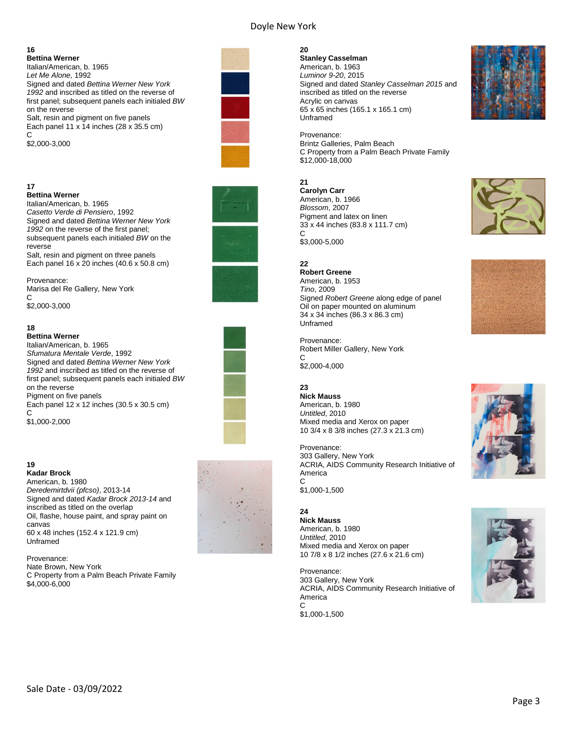#### **16**

**Bettina Werner** Italian/American, b. 1965 *Let Me Alone*, 1992 Signed and dated *Bettina Werner New York 1992* and inscribed as titled on the reverse of first panel; subsequent panels each initialed *BW* on the reverse Salt, resin and pigment on five panels Each panel 11 x 14 inches (28 x 35.5 cm)  $\mathcal{C}$ \$2,000-3,000

#### **17**

#### **Bettina Werner**

Italian/American, b. 1965 *Casetto Verde di Pensiero*, 1992 Signed and dated *Bettina Werner New York 1992* on the reverse of the first panel; subsequent panels each initialed *BW* on the reverse Salt, resin and pigment on three panels

Each panel 16 x 20 inches (40.6 x 50.8 cm)

Provenance: Marisa del Re Gallery, New York  $\mathcal{C}$ \$2,000-3,000

#### **18**

**Bettina Werner**

Italian/American, b. 1965 *Sfumatura Mentale Verde*, 1992 Signed and dated *Bettina Werner New York 1992* and inscribed as titled on the reverse of first panel; subsequent panels each initialed *BW* on the reverse Pigment on five panels Each panel 12 x 12 inches (30.5 x 30.5 cm)  $\mathsf{C}$ 

\$1,000-2,000

#### **19 Kadar Brock**

American, b. 1980 *Deredemirtdvii (pfcso)*, 2013-14 Signed and dated *Kadar Brock 2013-14* and inscribed as titled on the overlap Oil, flashe, house paint, and spray paint on canvas 60 x 48 inches (152.4 x 121.9 cm) Unframed

Provenance: Nate Brown, New York C Property from a Palm Beach Private Family \$4,000-6,000









#### **20**

**Stanley Casselman** American, b. 1963 *Luminor 9-20*, 2015 Signed and dated *Stanley Casselman 2015* and inscribed as titled on the reverse Acrylic on canvas 65 x 65 inches (165.1 x 165.1 cm) Unframed

Provenance: Brintz Galleries, Palm Beach C Property from a Palm Beach Private Family \$12,000-18,000

#### **21**

**Carolyn Carr** American, b. 1966 *Blossom*, 2007 Pigment and latex on linen 33 x 44 inches (83.8 x 111.7 cm)  $\mathcal{C}$ 

\$3,000-5,000

#### **22**

**Robert Greene** American, b. 1953 *Tino*, 2009 Signed *Robert Greene* along edge of panel Oil on paper mounted on aluminum 34 x 34 inches (86.3 x 86.3 cm) Unframed

Provenance: Robert Miller Gallery, New York  $\mathsf{C}$ \$2,000-4,000

#### **23**

**Nick Mauss** American, b. 1980 *Untitled*, 2010 Mixed media and Xerox on paper 10 3/4 x 8 3/8 inches (27.3 x 21.3 cm)

Provenance: 303 Gallery, New York ACRIA, AIDS Community Research Initiative of America C \$1,000-1,500

#### **24 Nick Mauss** American, b. 1980 *Untitled*, 2010 Mixed media and Xerox on paper 10 7/8 x 8 1/2 inches (27.6 x 21.6 cm)

Provenance: 303 Gallery, New York ACRIA, AIDS Community Research Initiative of America  $\overline{C}$ 











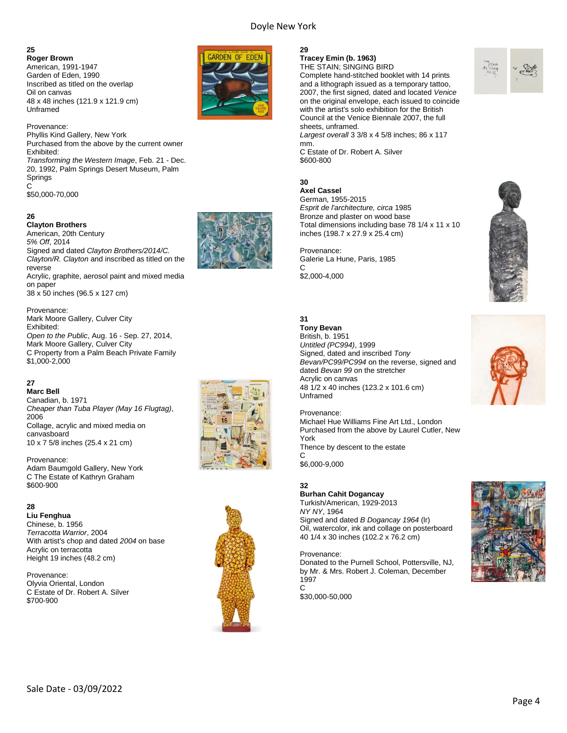**25 Roger Brown** American, 1991-1947 Garden of Eden, 1990 Inscribed as titled on the overlap Oil on canvas 48 x 48 inches (121.9 x 121.9 cm) Unframed



#### **26**

**Clayton Brothers** American, 20th Century *5% Off*, 2014 Signed and dated *Clayton Brothers/2014/C. Clayton/R. Clayton* and inscribed as titled on the reverse Acrylic, graphite, aerosol paint and mixed media on paper 38 x 50 inches (96.5 x 127 cm)

Provenance: Mark Moore Gallery, Culver City Exhibited: *Open to the Public*, Aug. 16 - Sep. 27, 2014, Mark Moore Gallery, Culver City C Property from a Palm Beach Private Family \$1,000-2,000

#### **27**

**Marc Bell** Canadian, b. 1971 *Cheaper than Tuba Player (May 16 Flugtag)*, 2006 Collage, acrylic and mixed media on canvasboard 10 x 7 5/8 inches (25.4 x 21 cm)

Provenance: Adam Baumgold Gallery, New York C The Estate of Kathryn Graham \$600-900

#### **28**

**Liu Fenghua** Chinese, b. 1956 *Terracotta Warrior*, 2004 With artist's chop and dated *2004* on base Acrylic on terracotta Height 19 inches (48.2 cm)

Provenance: Olyvia Oriental, London C Estate of Dr. Robert A. Silver \$700-900



#### **29**

\$600-800

**Axel Cassel** German, 1955-2015

Provenance:

\$2,000-4,000

**Tony Bevan** British, b. 1951 *Untitled (PC994)*, 1999

Acrylic on canvas

Unframed

*Esprit de l'architecture, circa* 1985 Bronze and plaster on wood base

inches (198.7 x 27.9 x 25.4 cm)

Galerie La Hune, Paris, 1985

Signed, dated and inscribed *Tony* 

dated *Bevan 99* on the stretcher

48 1/2 x 40 inches (123.2 x 101.6 cm)

**30**

 $\mathsf{C}$ 

**31**

**Tracey Emin (b. 1963)** THE STAIN; SINGING BIRD

Complete hand-stitched booklet with 14 prints and a lithograph issued as a temporary tattoo, 2007, the first signed, dated and located *Venice* on the original envelope, each issued to coincide with the artist's solo exhibition for the British Council at the Venice Biennale 2007, the full sheets, unframed. *Largest overall* 3 3/8 x 4 5/8 inches; 86 x 117 mm. C Estate of Dr. Robert A. Silver

Total dimensions including base 78 1/4 x 11 x 10











Provenance: Michael Hue Williams Fine Art Ltd., London Purchased from the above by Laurel Cutler, New York Thence by descent to the estate  $\mathsf{C}$ \$6,000-9,000

*Bevan/PC99/PC994* on the reverse, signed and

**32**

**Burhan Cahit Dogancay** Turkish/American, 1929-2013

*NY NY*, 1964 Signed and dated *B Dogancay 1964* (lr) Oil, watercolor, ink and collage on posterboard 40 1/4 x 30 inches (102.2 x 76.2 cm)

Provenance: Donated to the Purnell School, Pottersville, NJ, by Mr. & Mrs. Robert J. Coleman, December 1997  $\mathsf{C}$ 

\$30,000-50,000



Sale Date - 03/09/2022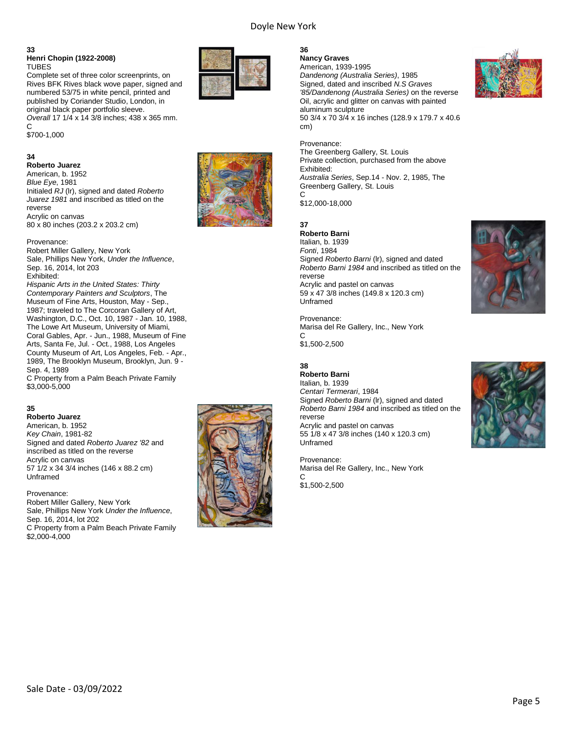#### **33 Henri Chopin (1922-2008)** TUBES

Complete set of three color screenprints, on Rives BFK Rives black wove paper, signed and numbered 53/75 in white pencil, printed and published by Coriander Studio, London, in original black paper portfolio sleeve. *Overall* 17 1/4 x 14 3/8 inches; 438 x 365 mm.  $\mathsf{C}$ \$700-1,000

#### **34**

**Roberto Juarez** American, b. 1952 *Blue Eye*, 1981 Initialed *RJ* (lr), signed and dated *Roberto Juarez 1981* and inscribed as titled on the reverse Acrylic on canvas 80 x 80 inches (203.2 x 203.2 cm)

Provenance: Robert Miller Gallery, New York Sale, Phillips New York, *Under the Influence*, Sep. 16, 2014, lot 203 Exhibited: *Hispanic Arts in the United States: Thirty Contemporary Painters and Sculptors*, The Museum of Fine Arts, Houston, May - Sep., 1987; traveled to The Corcoran Gallery of Art, Washington, D.C., Oct. 10, 1987 - Jan. 10, 1988, The Lowe Art Museum, University of Miami, Coral Gables, Apr. - Jun., 1988, Museum of Fine Arts, Santa Fe, Jul. - Oct., 1988, Los Angeles County Museum of Art, Los Angeles, Feb. - Apr., 1989, The Brooklyn Museum, Brooklyn, Jun. 9 - Sep. 4, 1989

C Property from a Palm Beach Private Family \$3,000-5,000

#### **35**

**Roberto Juarez** American, b. 1952 *Key Chain*, 1981-82 Signed and dated *Roberto Juarez '82* and inscribed as titled on the reverse Acrylic on canvas 57 1/2 x 34 3/4 inches (146 x 88.2 cm) Unframed

Provenance: Robert Miller Gallery, New York Sale, Phillips New York *Under the Influence*, Sep. 16, 2014, lot 202 C Property from a Palm Beach Private Family \$2,000-4,000





#### **36**

**Nancy Graves** American, 1939-1995 *Dandenong (Australia Series)*, 1985 Signed, dated and inscribed *N.S Graves '85/Dandenong (Australia Series)* on the reverse Oil, acrylic and glitter on canvas with painted aluminum sculpture 50 3/4 x 70 3/4 x 16 inches (128.9 x 179.7 x 40.6 cm)



The Greenberg Gallery, St. Louis Private collection, purchased from the above Exhibited: *Australia Series*, Sep.14 - Nov. 2, 1985, The Greenberg Gallery, St. Louis  $\cap$ \$12,000-18,000

**37**

#### **Roberto Barni**

Italian, b. 1939 *Fonti*, 1984 Signed *Roberto Barni* (lr), signed and dated *Roberto Barni 1984* and inscribed as titled on the reverse Acrylic and pastel on canvas 59 x 47 3/8 inches (149.8 x 120.3 cm) Unframed

Provenance: Marisa del Re Gallery, Inc., New York  $\mathcal{C}$ 

\$1,500-2,500

#### **38**

**Roberto Barni** Italian, b. 1939 *Centari Termerari*, 1984 Signed *Roberto Barni* (lr), signed and dated *Roberto Barni 1984* and inscribed as titled on the reverse Acrylic and pastel on canvas 55 1/8 x 47 3/8 inches (140 x 120.3 cm) Unframed

Provenance: Marisa del Re Gallery, Inc., New York  $\Omega$ 

\$1,500-2,500



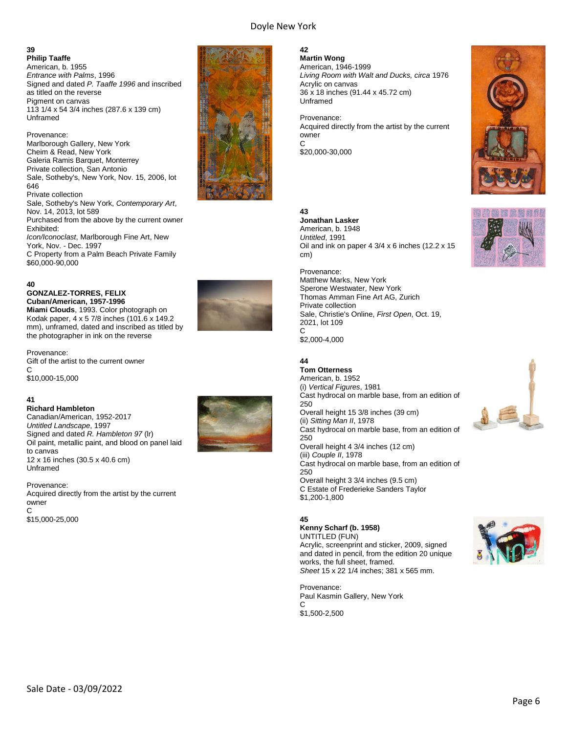**42**

**Martin Wong**

**39 Philip Taaffe** American, b. 1955 *Entrance with Palms*, 1996 Signed and dated *P. Taaffe 1996* and inscribed as titled on the reverse Pigment on canvas 113 1/4 x 54 3/4 inches (287.6 x 139 cm) Unframed

Provenance: Marlborough Gallery, New York Cheim & Read, New York Galeria Ramis Barquet, Monterrey Private collection, San Antonio Sale, Sotheby's, New York, Nov. 15, 2006, lot 646 Private collection Sale, Sotheby's New York, *Contemporary Art*, Nov. 14, 2013, lot 589 Purchased from the above by the current owner Exhibited: *Icon/Iconoclast*, Marlborough Fine Art, New York, Nov. - Dec. 1997 C Property from a Palm Beach Private Family \$60,000-90,000

#### **40**

#### **GONZALEZ-TORRES, FELIX Cuban/American, 1957-1996**

**Miami Clouds**, 1993. Color photograph on Kodak paper, 4 x 5 7/8 inches (101.6 x 149.2 mm), unframed, dated and inscribed as titled by the photographer in ink on the reverse

Provenance: Gift of the artist to the current owner  $\mathcal{C}$ \$10,000-15,000

#### **41**

**Richard Hambleton** Canadian/American, 1952-2017 *Untitled Landscape*, 1997 Signed and dated *R. Hambleton 97* (lr) Oil paint, metallic paint, and blood on panel laid to canvas 12 x 16 inches (30.5 x 40.6 cm) Unframed

Provenance: Acquired directly from the artist by the current owner C \$15,000-25,000







#### Sale Date - 03/09/2022



*Living Room with Walt and Ducks, circa* 1976 Acrylic on canvas 36 x 18 inches (91.44 x 45.72 cm) Unframed

Provenance: Acquired directly from the artist by the current owner C \$20,000-30,000

#### **43**

**Jonathan Lasker** American, b. 1948 *Untitled*, 1991 Oil and ink on paper  $4 \frac{3}{4} \times 6$  inches (12.2  $\times$  15 cm)

Provenance: Matthew Marks, New York Sperone Westwater, New York Thomas Amman Fine Art AG, Zurich Private collection Sale, Christie's Online, *First Open*, Oct. 19, 2021, lot 109 C \$2,000-4,000

#### **44 Tom Otterness**

American, b. 1952 (i) *Vertical Figures*, 1981 Cast hydrocal on marble base, from an edition of 250 Overall height 15 3/8 inches (39 cm) (ii) *Sitting Man II*, 1978 Cast hydrocal on marble base, from an edition of 250 Overall height 4 3/4 inches (12 cm) (iii) *Couple II*, 1978 Cast hydrocal on marble base, from an edition of 250 Overall height 3 3/4 inches (9.5 cm) C Estate of Frederieke Sanders Taylor \$1,200-1,800

#### **45**

**Kenny Scharf (b. 1958)** UNTITLED (FUN) Acrylic, screenprint and sticker, 2009, signed and dated in pencil, from the edition 20 unique works, the full sheet, framed.

*Sheet* 15 x 22 1/4 inches; 381 x 565 mm.

Provenance: Paul Kasmin Gallery, New York  $\cap$ \$1,500-2,500







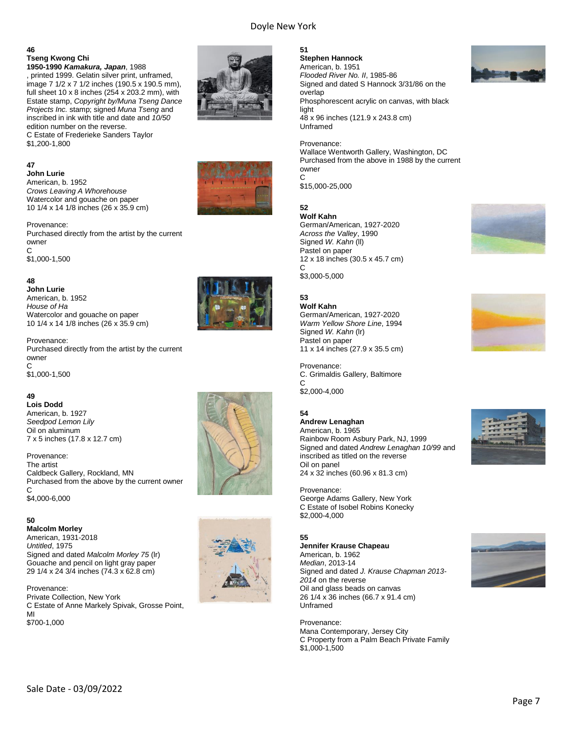#### **46 Tseng Kwong Chi 1950-1990** *Kamakura, Japan*, 1988

, printed 1999. Gelatin silver print, unframed, image 7 1/2 x 7 1/2 inches (190.5 x 190.5 mm), full sheet 10 x 8 inches (254 x 203.2 mm), with Estate stamp, *Copyright by/Muna Tseng Dance Projects Inc.* stamp; signed *Muna Tseng* and inscribed in ink with title and date and *10/50* edition number on the reverse. C Estate of Frederieke Sanders Taylor \$1,200-1,800

#### **47**

**John Lurie** American, b. 1952 *Crows Leaving A Whorehouse* Watercolor and gouache on paper 10 1/4 x 14 1/8 inches (26 x 35.9 cm)

Provenance: Purchased directly from the artist by the current owner C \$1,000-1,500

#### **48**

**John Lurie** American, b. 1952 *House of Ha* Watercolor and gouache on paper 10 1/4 x 14 1/8 inches (26 x 35.9 cm)

Provenance: Purchased directly from the artist by the current owner  $\mathsf{C}$ \$1,000-1,500

#### **49**

**Lois Dodd** American, b. 1927 *Seedpod Lemon Lily* Oil on aluminum 7 x 5 inches (17.8 x 12.7 cm)

Provenance: The artist Caldbeck Gallery, Rockland, MN Purchased from the above by the current owner C \$4,000-6,000

#### **50**

**Malcolm Morley** American, 1931-2018 *Untitled*, 1975 Signed and dated *Malcolm Morley 75* (lr) Gouache and pencil on light gray paper 29 1/4 x 24 3/4 inches (74.3 x 62.8 cm)

Provenance: Private Collection, New York C Estate of Anne Markely Spivak, Grosse Point, MI \$700-1,000











**51 Stephen Hannock** American, b. 1951 *Flooded River No. II*, 1985-86 Signed and dated S Hannock 3/31/86 on the overlap Phosphorescent acrylic on canvas, with black light 48 x 96 inches (121.9 x 243.8 cm) Unframed

Provenance: Wallace Wentworth Gallery, Washington, DC Purchased from the above in 1988 by the current owner C

\$15,000-25,000

#### **52**

**Wolf Kahn** German/American, 1927-2020 *Across the Valley*, 1990 Signed *W. Kahn* (ll) Pastel on paper 12 x 18 inches (30.5 x 45.7 cm)  $\mathsf{C}$ \$3,000-5,000

#### **53**

**Wolf Kahn** German/American, 1927-2020 *Warm Yellow Shore Line*, 1994 Signed *W. Kahn* (lr) Pastel on paper 11 x 14 inches (27.9 x 35.5 cm)

Provenance: C. Grimaldis Gallery, Baltimore C \$2,000-4,000

#### **54**

**Andrew Lenaghan** American, b. 1965 Rainbow Room Asbury Park, NJ, 1999 Signed and dated *Andrew Lenaghan 10/99* and inscribed as titled on the reverse Oil on panel 24 x 32 inches (60.96 x 81.3 cm)

Provenance: George Adams Gallery, New York C Estate of Isobel Robins Konecky \$2,000-4,000

#### **55**

**Jennifer Krause Chapeau** American, b. 1962 *Median*, 2013-14 Signed and dated *J. Krause Chapman 2013- 2014* on the reverse Oil and glass beads on canvas 26 1/4 x 36 inches (66.7 x 91.4 cm) Unframed

Provenance: Mana Contemporary, Jersey City C Property from a Palm Beach Private Family \$1,000-1,500







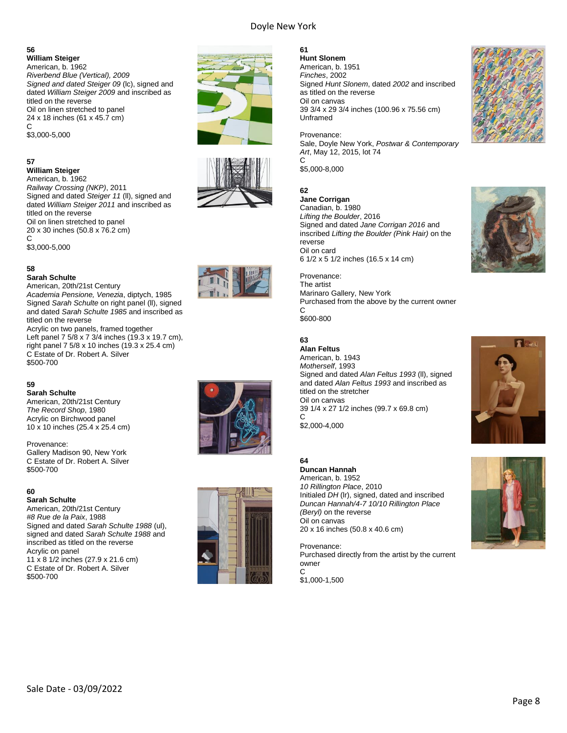#### **56**

**William Steiger** American, b. 1962 *Riverbend Blue (Vertical), 2009 Signed and dated Steiger 09* (lc), signed and dated *William Steiger 2009* and inscribed as titled on the reverse Oil on linen stretched to panel 24 x 18 inches (61 x 45.7 cm)  $\mathsf{C}$ \$3,000-5,000

**57**

#### **William Steiger**

American, b. 1962 *Railway Crossing (NKP)*, 2011 Signed and dated *Steiger 11* (ll), signed and dated *William Steiger 2011* and inscribed as titled on the reverse Oil on linen stretched to panel 20 x 30 inches (50.8 x 76.2 cm) C \$3,000-5,000

#### **58**

#### **Sarah Schulte**

American, 20th/21st Century *Academia Pensione, Venezia*, diptych, 1985 Signed *Sarah Schulte* on right panel (ll), signed and dated *Sarah Schulte 1985* and inscribed as titled on the reverse Acrylic on two panels, framed together

Left panel 7 5/8 x 7 3/4 inches (19.3 x 19.7 cm), right panel 7 5/8 x 10 inches (19.3 x 25.4 cm) C Estate of Dr. Robert A. Silver \$500-700

#### **59**

**Sarah Schulte** American, 20th/21st Century *The Record Shop*, 1980 Acrylic on Birchwood panel 10 x 10 inches (25.4 x 25.4 cm)

Provenance: Gallery Madison 90, New York C Estate of Dr. Robert A. Silver \$500-700

#### **60**

**Sarah Schulte** American, 20th/21st Century *#8 Rue de la Paix*, 1988 Signed and dated *Sarah Schulte 1988* (ul), signed and dated *Sarah Schulte 1988* and inscribed as titled on the reverse Acrylic on panel 11 x 8 1/2 inches (27.9 x 21.6 cm) C Estate of Dr. Robert A. Silver \$500-700











#### **61**

**Hunt Slonem** American, b. 1951 *Finches*, 2002 Signed *Hunt Slonem*, dated *2002* and inscribed as titled on the reverse Oil on canvas 39 3/4 x 29 3/4 inches (100.96 x 75.56 cm) Unframed

Provenance: Sale, Doyle New York, *Postwar & Contemporary Art*, May 12, 2015, lot 74 C \$5,000-8,000

#### **62**

**Jane Corrigan** Canadian, b. 1980 *Lifting the Boulder*, 2016 Signed and dated *Jane Corrigan 2016* and inscribed *Lifting the Boulder (Pink Hair)* on the reverse Oil on card

6 1/2 x 5 1/2 inches (16.5 x 14 cm)

Provenance: The artist Marinaro Gallery, New York Purchased from the above by the current owner C

\$600-800

#### **63**

**Alan Feltus** American, b. 1943 *Motherself*, 1993 Signed and dated *Alan Feltus 1993* (ll), signed and dated *Alan Feltus 1993* and inscribed as titled on the stretcher Oil on canvas 39 1/4 x 27 1/2 inches (99.7 x 69.8 cm) C \$2,000-4,000

#### **64**

**Duncan Hannah** American, b. 1952 *10 Rillington Place*, 2010 Initialed *DH* (lr), signed, dated and inscribed *Duncan Hannah/4-7 10/10 Rillington Place (Beryl)* on the reverse Oil on canvas 20 x 16 inches (50.8 x 40.6 cm)

Provenance: Purchased directly from the artist by the current owner C